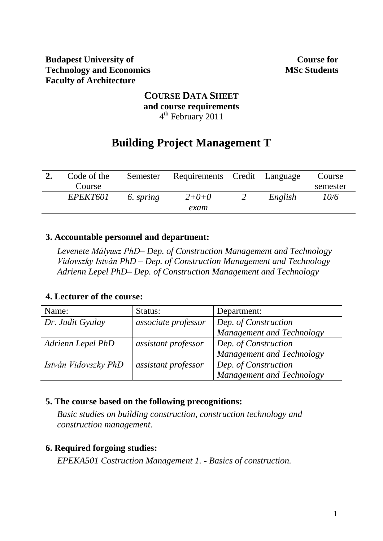**Course for MSc Students**

## **COURSE DATA SHEET and course requirements** 4<sup>th</sup> February 2011

# **Building Project Management T**

| Code of the |           | Semester Requirements Credit Language |         | Course   |
|-------------|-----------|---------------------------------------|---------|----------|
| Course      |           |                                       |         | semester |
| EPEKT601    | 6. spring | $2 + 0 + 0$                           | English | 10/6     |
|             |           | exam                                  |         |          |

#### **3. Accountable personnel and department:**

*Levenete Mályusz PhD– Dep. of Construction Management and Technology Vidovszky István PhD – Dep. of Construction Management and Technology Adrienn Lepel PhD– Dep. of Construction Management and Technology*

#### **4. Lecturer of the course:**

| Name:                | Status:             | Department:               |
|----------------------|---------------------|---------------------------|
| Dr. Judit Gyulay     | associate professor | Dep. of Construction      |
|                      |                     | Management and Technology |
| Adrienn Lepel PhD    | assistant professor | Dep. of Construction      |
|                      |                     | Management and Technology |
| István Vidovszky PhD | assistant professor | Dep. of Construction      |
|                      |                     | Management and Technology |

#### **5. The course based on the following precognitions:**

*Basic studies on building construction, construction technology and construction management.*

#### **6. Required forgoing studies:**

*EPEKA501 Costruction Management 1. - Basics of construction.*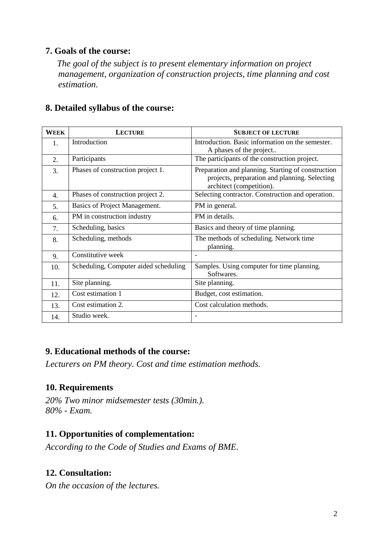## **7. Goals of the course:**

*The goal of the subject is to present elementary information on project management, organization of construction projects, time planning and cost estimation.*

| WEEK | <b>LECTURE</b>                        | <b>SUBJECT OF LECTURE</b>                                                                                                       |
|------|---------------------------------------|---------------------------------------------------------------------------------------------------------------------------------|
| 1.   | Introduction                          | Introduction. Basic information on the semester.<br>A phases of the project                                                     |
| 2.   | Participants                          | The participants of the construction project.                                                                                   |
| 3.   | Phases of construction project 1.     | Preparation and planning. Starting of construction<br>projects, preparation and planning. Selecting<br>architect (competition). |
| 4.   | Phases of construction project 2.     | Selecting contractor. Construction and operation.                                                                               |
| 5.   | Basics of Project Management.         | PM in general.                                                                                                                  |
| 6.   | PM in construction industry           | PM in details.                                                                                                                  |
| 7.   | Scheduling, basics                    | Basics and theory of time planning.                                                                                             |
| 8.   | Scheduling, methods                   | The methods of scheduling. Network time<br>planning.                                                                            |
| 9.   | Constitutive week                     |                                                                                                                                 |
| 10.  | Scheduling, Computer aided scheduling | Samples. Using computer for time planning.<br>Softwares.                                                                        |
| 11.  | Site planning.                        | Site planning.                                                                                                                  |
| 12.  | Cost estimation 1                     | Budget, cost estimation.                                                                                                        |
| 13.  | Cost estimation 2.                    | Cost calculation methods.                                                                                                       |
| 14.  | Studio week.                          |                                                                                                                                 |

### **8. Detailed syllabus of the course:**

#### **9. Educational methods of the course:**

*Lecturers on PM theory. Cost and time estimation methods.*

#### **10. Requirements**

*20% Two minor midsemester tests (30min.). 80% - Exam.* 

## **11. Opportunities of complementation:**

*According to the Code of Studies and Exams of BME.*

#### **12. Consultation:**

*On the occasion of the lectures.*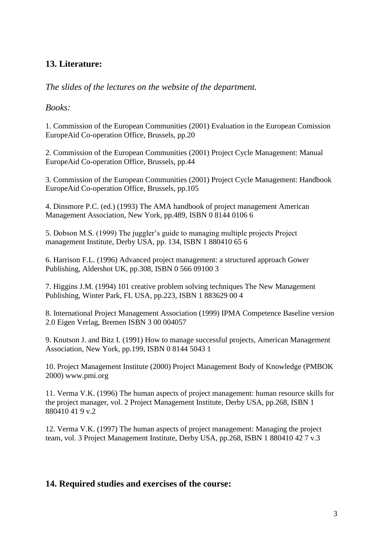### **13. Literature:**

*The slides of the lectures on the website of the department.*

*Books:*

1. Commission of the European Communities (2001) Evaluation in the European Comission EuropeAid Co-operation Office, Brussels, pp.20

2. Commission of the European Communities (2001) Project Cycle Management: Manual EuropeAid Co-operation Office, Brussels, pp.44

3. Commission of the European Communities (2001) Project Cycle Management: Handbook EuropeAid Co-operation Office, Brussels, pp.105

4. Dinsmore P.C. (ed.) (1993) The AMA handbook of project management American Management Association, New York, pp.489, ISBN 0 8144 0106 6

5. Dobson M.S. (1999) The juggler's guide to managing multiple projects Project management Institute, Derby USA, pp. 134, ISBN 1 880410 65 6

6. Harrison F.L. (1996) Advanced project management: a structured approach Gower Publishing, Aldershot UK, pp.308, ISBN 0 566 09100 3

7. Higgins J.M. (1994) 101 creative problem solving techniques The New Management Publishing, Winter Park, FL USA, pp.223, ISBN 1 883629 00 4

8. International Project Management Association (1999) IPMA Competence Baseline version 2.0 Eigen Verlag, Bremen ISBN 3 00 004057

9. Knutson J. and Bitz I. (1991) How to manage successful projects, American Management Association, New York, pp.199, ISBN 0 8144 5043 1

10. Project Management Institute (2000) Project Management Body of Knowledge (PMBOK 2000) www.pmi.org

11. Verma V.K. (1996) The human aspects of project management: human resource skills for the project manager, vol. 2 Project Management Institute, Derby USA, pp.268, ISBN 1 880410 41 9 v.2

12. Verma V.K. (1997) The human aspects of project management: Managing the project team, vol. 3 Project Management Institute, Derby USA, pp.268, ISBN 1 880410 42 7 v.3

#### **14. Required studies and exercises of the course:**